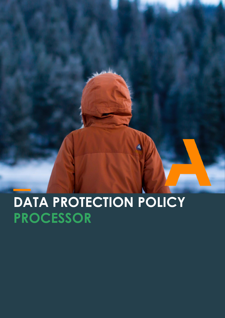**DATA PROTECTION POLICY PROCESSOR**

 $\blacktriangleleft$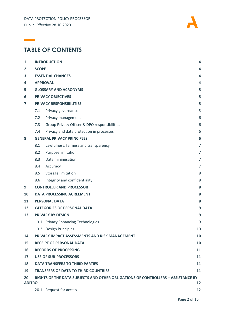

# **TABLE OF CONTENTS**

 $\mathcal{L}(\mathcal{L})$ 

| $\mathbf{1}$   | <b>INTRODUCTION</b>                                                              |                                                | 4              |  |  |
|----------------|----------------------------------------------------------------------------------|------------------------------------------------|----------------|--|--|
| $\overline{2}$ | <b>SCOPE</b>                                                                     |                                                |                |  |  |
| 3              | <b>ESSENTIAL CHANGES</b>                                                         |                                                |                |  |  |
| 4              | <b>APPROVAL</b>                                                                  |                                                |                |  |  |
| 5              | <b>GLOSSARY AND ACRONYMS</b>                                                     |                                                |                |  |  |
| 6              | <b>PRIVACY OBJECTIVES</b>                                                        |                                                |                |  |  |
| 7              | <b>PRIVACY RESPONSIBILITIES</b>                                                  |                                                |                |  |  |
|                | 7.1                                                                              | Privacy governance                             | 5              |  |  |
|                | 7.2                                                                              | Privacy management                             | 6              |  |  |
|                | 7.3                                                                              | Group Privacy Officer & DPO responsibilities   | 6              |  |  |
|                | 7.4                                                                              | Privacy and data protection in processes       | 6              |  |  |
| 8              | <b>GENERAL PRIVACY PRINCIPLES</b>                                                |                                                |                |  |  |
|                | 8.1                                                                              | Lawfulness, fairness and transparency          | $\overline{7}$ |  |  |
|                | 8.2                                                                              | Purpose limitation                             | $\overline{7}$ |  |  |
|                | 8.3                                                                              | Data minimisation                              | 7              |  |  |
|                | 8.4                                                                              | Accuracy                                       | $\overline{7}$ |  |  |
|                | 8.5                                                                              | Storage limitation                             | 8              |  |  |
|                | 8.6                                                                              | Integrity and confidentiality                  | 8              |  |  |
| 9              |                                                                                  | <b>CONTROLLER AND PROCESSOR</b>                | 8              |  |  |
| 10             | <b>DATA PROCESSING AGREEMENT</b><br>8                                            |                                                |                |  |  |
| 11             | <b>PERSONAL DATA</b><br>8                                                        |                                                |                |  |  |
| 12             |                                                                                  | <b>CATEGORIES OF PERSONAL DATA</b><br>9        |                |  |  |
| 13             | <b>PRIVACY BY DESIGN</b>                                                         |                                                |                |  |  |
|                |                                                                                  | 13.1 Privacy Enhancing Technologies            | 9              |  |  |
|                |                                                                                  | 13.2 Design Principles                         | 10             |  |  |
| 14             |                                                                                  | PRIVACY IMPACT ASSESSMENTS AND RISK MANAGEMENT | 10             |  |  |
| 15             |                                                                                  | <b>RECEIPT OF PERSONAL DATA</b>                | 10             |  |  |
| 16             |                                                                                  | <b>RECORDS OF PROCESSING</b>                   | 11             |  |  |
| 17             | <b>USE OF SUB-PROCESSORS</b><br>11                                               |                                                |                |  |  |
| 18             | <b>DATA TRANSFERS TO THIRD PARTIES</b><br>11                                     |                                                |                |  |  |
| 19             | <b>TRANSFERS OF DATA TO THIRD COUNTRIES</b><br>11                                |                                                |                |  |  |
| 20             | RIGHTS OF THE DATA SUBJECTS AND OTHER OBLIGATIONS OF CONTROLLERS - ASSISTANCE BY |                                                |                |  |  |
|                | <b>ADITRO</b><br>12                                                              |                                                |                |  |  |
|                |                                                                                  | 20.1 Request for access                        | 12             |  |  |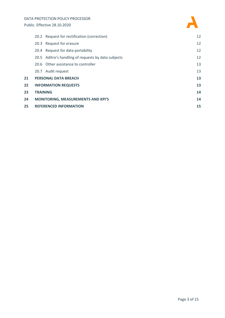

|    | 20.2 Request for rectification (correction)         | 12 |
|----|-----------------------------------------------------|----|
|    | 20.3 Request for erasure                            | 12 |
|    | 20.4 Request for data portability                   | 12 |
|    | 20.5 Aditro's handling of requests by data subjects | 12 |
|    | 20.6 Other assistance to controller                 | 13 |
|    | 20.7 Audit request                                  | 13 |
| 21 | <b>PERSONAL DATA BREACH</b>                         |    |
| 22 | <b>INFORMATION REQUESTS</b>                         |    |
| 23 | <b>TRAINING</b>                                     | 14 |
| 24 | <b>MONITORING, MEASUREMENTS AND KPI'S</b>           |    |
| 25 | <b>REFERENCED INFORMATION</b>                       |    |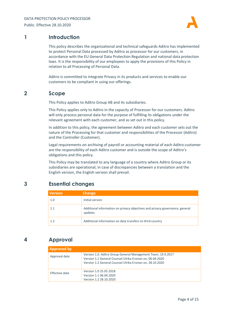

### <span id="page-3-0"></span>**1 Introduction**

This policy describes the organizational and technical safeguards Aditro has implemented to protect Personal Data processed by Aditro as processor for our customers, in accordance with the EU General Data Protection Regulation and national data protection laws. It is the responsibility of our employees to apply the provisions of this Policy in relation to all Processing of Personal Data.

Aditro is committed to integrate Privacy in its products and services to enable our customers to be compliant in using our offerings.

### <span id="page-3-1"></span>**2 Scope**

This Policy applies to Aditro Group AB and its subsidiaries.

This Policy applies only to Aditro in the capacity of Processor for our customers. Aditro will only process personal data for the purpose of fulfilling its obligations under the relevant agreement with each customer, and as set out in this policy.

In addition to this policy, the agreement between Aditro and each customer sets out the nature of the Processing for that customer and responsibilities of the Processor (Aditro) and the Controller (Customer).

Legal requirements on archiving of payroll or accounting material of each Aditro customer are the responsibility of each Aditro customer and is outside the scope of Aditro's obligations and this policy.

This Policy may be translated to any language of a country where Aditro Group or its subsidiaries are operational, in case of discrepancies between a translation and the English version, the English version shall prevail.

# <span id="page-3-2"></span>**3 Essential changes**

| <b>Version</b> | <b>Change</b>                                                                           |
|----------------|-----------------------------------------------------------------------------------------|
| 1.0            | Initial version                                                                         |
| 1.1            | Additional information on privacy objectives and privacy governance, general<br>updates |
| 1.2            | Additional information on data transfers to third country                               |

# <span id="page-3-3"></span>**4 Approval**

| <b>Approved by</b> |                                                                                                                                                                                      |  |  |  |  |
|--------------------|--------------------------------------------------------------------------------------------------------------------------------------------------------------------------------------|--|--|--|--|
| Approval date      | Version 1.0. Aditro Group General Management Team, 19.9.2017<br>Version 1.1 General Counsel Ulrika Ersman on, 06.04.2020<br>Version 1.2 General Counsel Ulrika Ersman on, 28.10.2020 |  |  |  |  |
| Effective date     | Version 1.0 25.05.2018<br>Version 1.1 06.04.2020<br>Version 1.2 28.10.2020                                                                                                           |  |  |  |  |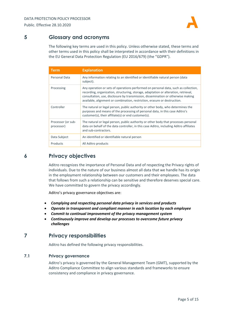

# <span id="page-4-0"></span>**5 Glossary and acronyms**

The following key terms are used in this policy. Unless otherwise stated, these terms and other terms used in this policy shall be interpreted in accordance with their definitions in the EU General Data Protection Regulation (EU 2016/679) (the "GDPR").

| <b>Term</b>                      | <b>Explanation</b>                                                                                                                                                                                                                                                                                                                          |
|----------------------------------|---------------------------------------------------------------------------------------------------------------------------------------------------------------------------------------------------------------------------------------------------------------------------------------------------------------------------------------------|
| Personal Data                    | Any information relating to an identified or identifiable natural person (data<br>subject).                                                                                                                                                                                                                                                 |
| Processing                       | Any operation or sets of operations performed on personal data, such as collection,<br>recording, organization, structuring, storage, adaptation or alteration, retrieval,<br>consultation, use, disclosure by transmission, dissemination or otherwise making<br>available, alignment or combination, restriction, erasure or destruction. |
| Controller                       | The natural or legal person, public authority or other body, who determines the<br>purposes and means of the processing of personal data, in this case Aditro's<br>customer(s), their affiliate(s) or end customer(s).                                                                                                                      |
| Processor (or sub-<br>processor) | The natural or legal person, public authority or other body that processes personal<br>data on behalf of the data controller, in this case Aditro, including Aditro affiliates<br>and sub-contractors.                                                                                                                                      |
| Data Subject                     | An identified or identifiable natural person                                                                                                                                                                                                                                                                                                |
| Products                         | All Aditro products                                                                                                                                                                                                                                                                                                                         |

# <span id="page-4-1"></span>**6 Privacy objectives**

Aditro recognizes the importance of Personal Data and of respecting the Privacy rights of individuals. Due to the nature of our business almost all data that we handle has its origin in the employment relationship between our customers and their employees. The data that follows from such a relationship can be sensitive and therefore deserves special care. We have committed to govern the privacy accordingly.

Aditro's privacy governance objectives are:

- *Complying and respecting personal data privacy in services and products*
- *Operate in transparent and compliant manner in each location by each employee*
- *Commit to continual improvement of the privacy management system*
- *Continuously improve and develop our processes to overcome future privacy challenges*

# <span id="page-4-2"></span>**7 Privacy responsibilities**

Aditro has defined the following privacy responsibilities.

### <span id="page-4-3"></span>**7.1 Privacy governance**

Aditro's privacy is governed by the General Management Team (GMT), supported by the Aditro Compliance Committee to align various standards and frameworks to ensure consistency and compliance in privacy governance.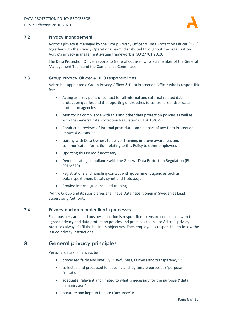

### <span id="page-5-0"></span>**7.2 Privacy management**

Aditro's privacy is managed by the Group Privacy Officer & Data Protection Officer (DPO), together with the Privacy Operations Team, distributed throughout the organization. Aditro's privacy management system framework is ISO 27701:2019.

The Data Protection Officer reports to General Counsel, who is a member of the General Management Team and the Compliance Committee.

#### <span id="page-5-1"></span>**7.3 Group Privacy Officer & DPO responsibilities**

Aditro has appointed a Group Privacy Officer & Data Protection Officer who is responsible for:

- Acting as a key point of contact for all internal and external related data protection queries and the reporting of breaches to controllers and/or data protection agencies
- Monitoring compliance with this and other data protection policies as well as with the General Data Protection Regulation (EU 2016/679)
- Conducting reviews of internal procedures and be part of any Data Protection Impact Assessment
- Liaising with Data Owners to deliver training, improve awareness and communicate information relating to this Policy to other employees
- Updating this Policy if necessary
- Demonstrating compliance with the General Data Protection Regulation (EU 2016/679)
- Registrations and handling contact with government agencies such as Datainspektionen, Datatylsynet and Tietosuoja
- Provide internal guidance and training

Aditro Group and its subsidiaries shall have Datainspektionen in Sweden as Lead Supervisory Authority.

### <span id="page-5-2"></span>**7.4 Privacy and data protection in processes**

Each business area and business function is responsible to ensure compliance with the agreed privacy and data protection policies and practices to ensure Aditro's privacy practices always fulfil the business objectives. Each employee is responsible to follow the issued privacy instructions.

### <span id="page-5-3"></span>**8 General privacy principles**

Personal data shall always be

- processed fairly and lawfully ("lawfulness, fairness and transparency");
- collected and processed for specific and legitimate purposes ("purpose limitation");
- adequate, relevant and limited to what is necessary for the purpose ("data minimisation");
- accurate and kept up to date ("accuracy");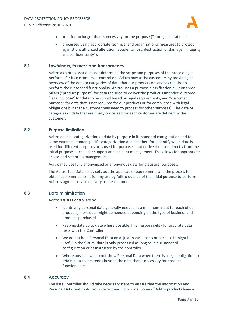

- kept for no longer than is necessary for the purpose ("storage limitation");
- processed using appropriate technical and organizational measures to protect against unauthorized alteration, accidental loss, destruction or damage ("integrity and confidentiality").

#### <span id="page-6-0"></span>**8.1 Lawfulness, fairness and transparency**

Aditro as a processor does not determine the scope and purposes of the processing it performs for its customers as controllers. Aditro may assist customers by providing an overview of the data or categories of data that our products or services require to perform their intended functionality. Aditro uses a purpose classification built on three pillars ("product purpose" for data required to deliver the product's intended outcome, "legal purpose" for data to be stored based on legal requirements, and "customer purpose" for data that is not required for our products or for compliance with legal obligations but that a customer may need to process for other purposes). The data or categories of data that are finally processed for each customer are defined by the customer.

#### <span id="page-6-1"></span>**8.2 Purpose limitation**

Aditro enables categorization of data by purpose in its standard configuration and to some extent customer specific categorization and can therefore identify when data is used for different purposes or is used for purposes that derive their use directly from the initial purpose, such as for support and incident management. This allows for appropriate access and retention management.

Aditro may use fully anonymized or anonymous data for statistical purposes.

The Aditro Test Data Policy sets out the applicable requirements and the process to obtain customer consent for any use by Aditro outside of the initial purpose to perform Aditro's agreed service delivery to the customer.

#### <span id="page-6-2"></span>**8.3 Data minimisation**

Aditro assists Controllers by

- Identifying personal data generally needed as a minimum input for each of our products, more data might be needed depending on the type of business and products purchased
- Keeping data up to date where possible, final responsibility for accurate data rests with the Controller
- We do not hold Personal Data on a 'just-in-case' basis or because it might be useful in the future, data is only processed as long as in our standard configuration or as instructed by the controller
- Where possible we do not show Personal Data when there is a legal obligation to retain data that extends beyond the data that is necessary for product functionalities

### <span id="page-6-3"></span>**8.4 Accuracy**

The data Controller should take necessary steps to ensure that the information and Personal Data sent to Aditro is correct and up to date. Some of Aditro products have a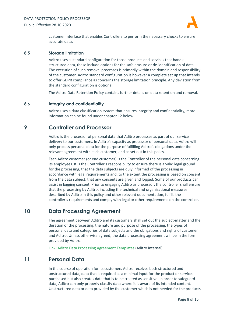

customer interface that enables Controllers to perform the necessary checks to ensure accurate data.

#### <span id="page-7-0"></span>**8.5 Storage limitation**

Aditro uses a standard configuration for those products and services that handle structured data, these include options for the safe erasure or de-identification of data. The execution of such removal processes is primarily within the domain and responsibility of the customer. Aditro standard configuration is however a complete set up that intends to offer GDPR compliance as concerns the storage limitation principle. Any deviation from the standard configuration is optional.

The Aditro Data Retention Policy contains further details on data retention and removal.

#### <span id="page-7-1"></span>**8.6 Integrity and confidentiality**

Aditro uses a data classification system that ensures integrity and confidentiality, more information can be found under chapte[r 12](#page-8-0) below.

### <span id="page-7-2"></span>**9 Controller and Processor**

Aditro is the processor of personal data that Aditro processes as part of our service delivery to our customers. In Aditro's capacity as processor of personal data, Aditro will only process personal data for the purpose of fulfilling Aditro's obligations under the relevant agreement with each customer, and as set out in this policy.

Each Aditro customer (or end customer) is the Controller of the personal data concerning its employees. It is the Controller's responsibility to ensure there is a valid legal ground for the processing, that the data subjects are duly informed of the processing in accordance with legal requirements and, to the extent the processing is based on consent from the data subject, that any consents are given and logged. Some of our products can assist in logging consent. Prior to engaging Aditro as processor, the controller shall ensure that the processing by Aditro, including the technical and organizational measures described by Aditro in this policy and other relevant documentation, fulfils the controller's requirements and comply with legal or other requirements on the controller.

### <span id="page-7-3"></span>**10 Data Processing Agreement**

The agreement between Aditro and its customers shall set out the subject-matter and the duration of the processing, the nature and purpose of the processing, the types of personal data and categories of data subjects and the obligations and rights of customer and Aditro. Unless otherwise agreed, the data processing agreement will be in the form provided by Aditro.

[Link: Aditro Data Processing Agreement Templates](https://grouplevel-my.sharepoint.com/personal/ulrika_ersman_aditro_com/Documents/GDPR/GDPR%202.0/Workstream%201%20Governance%20and%20Policies/2020/Link%20to:%20Aditro%20Data%20Processing%20Agreement%20Templates) (Aditro internal)

### <span id="page-7-4"></span>**11 Personal Data**

In the course of operation for its customers Aditro receives both structured and unstructured data, data that is required as a minimal input for the product or services purchased but also creates data that is to be treated as sensitive. In order to safeguard data, Aditro can only properly classify data where it is aware of its intended content. Unstructured data or data provided by the customer which is not needed for the products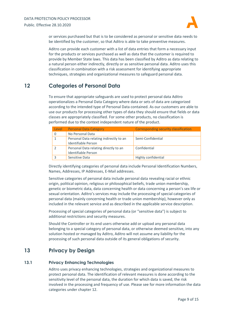

or services purchased but that is to be considered as personal or sensitive data needs to be identified by the customer, so that Aditro is able to take preventive measures.

Aditro can provide each customer with a list of data entries that form a necessary input for the products or services purchased as well as data that the customer is required to provide by Member State laws. This data has been classified by Aditro as data relating to a natural person either indirectly, directly or as sensitive personal data. Aditro uses this classification in combination with a risk assessment for identifying appropriate techniques, strategies and organizational measures to safeguard personal data.

# <span id="page-8-0"></span>**12 Categories of Personal Data**

To ensure that appropriate safeguards are used to protect personal data Aditro operationalizes a Personal Data Category where data or sets of data are categorized according to the intended type of Personal Data contained. As our customers are able to use our products for processing other types of data they should ensure that fields or data classes are appropriately classified. For some other products, no classification is performed due to the context independent nature of the product.

| Level | <b>Personal Data Category</b>                                  | <b>Corresponding security classification</b> |
|-------|----------------------------------------------------------------|----------------------------------------------|
|       | No Personal Data                                               |                                              |
|       | Personal Data relating indirectly to an<br>Identifiable Person | Semi-Confidential                            |
|       | Personal Data relating directly to an<br>Identifiable Person   | Confidential                                 |
|       | Sensitive Data                                                 | Highly confidential                          |

Directly identifying categories of personal data include Personal Identification Numbers, Names, Addresses, IP Addresses, E-Mail addresses.

Sensitive categories of personal data include personal data revealing racial or ethnic origin, political opinion, religious or philosophical beliefs, trade union membership, genetic or biometric data, data concerning health or data concerning a person's sex life or sexual orientation. Aditro's services may include the processing of special categories of personal data (mainly concerning health or trade union membership), however only as included in the relevant service and as described in the applicable service description.

Processing of special categories of personal data (or "sensitive data") is subject to additional restrictions and security measures.

Should the Controller or its end users otherwise add or upload any personal data belonging to a special category of personal data, or otherwise deemed sensitive, into any solution hosted or managed by Aditro, Aditro will not assume any liability for the processing of such personal data outside of its general obligations of security.

### <span id="page-8-1"></span>**13 Privacy by Design**

### <span id="page-8-2"></span>**13.1 Privacy Enhancing Technologies**

Aditro uses privacy enhancing technologies, strategies and organizational measures to protect personal data. The identification of relevant measures is done according to the sensitivity level of the personal data, the duration for which data is saved, the risk involved in the processing and frequency of use. Please see for more information the data categories under chapter [12.](#page-8-0)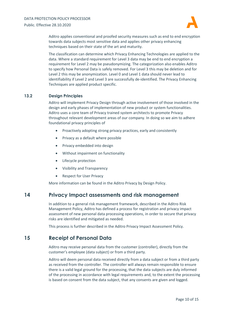

Aditro applies conventional and proofed security measures such as end to end encryption towards data subjects most sensitive data and applies other privacy enhancing techniques based on their state of the art and maturity.

The classification can determine which Privacy Enhancing Technologies are applied to the data. Where a standard requirement for Level 3 data may be end to end encryption a requirement for Level 2 may be pseudonymizing. The categorization also enables Aditro to specify how Personal Data is safely removed. For Level 3 this may be deletion and for Level 2 this may be anonymization. Level 0 and Level 1 data should never lead to identifiability if Level 2 and Level 3 are successfully de-identified. The Privacy Enhancing Techniques are applied product specific.

### <span id="page-9-0"></span>**13.2 Design Principles**

Aditro will implement Privacy Design through active involvement of those involved in the design and early phases of implementation of new product or system functionalities. Aditro uses a core team of Privacy trained system architects to promote Privacy throughout relevant development areas of our company. In doing so we aim to adhere foundational privacy principles of

- Proactively adopting strong privacy practices, early and consistently
- Privacy as a default where possible
- Privacy embedded into design
- Without impairment on functionality
- Lifecycle protection
- Visibility and Transparency
- Respect for User Privacy

More information can be found in the Aditro Privacy by Design Policy.

### <span id="page-9-1"></span>**14 Privacy Impact assessments and risk management**

In addition to a general risk management framework, described in the Aditro Risk Management Policy, Aditro has defined a process for registration and privacy impact assessment of new personal data processing operations, in order to secure that privacy risks are identified and mitigated as needed.

This process is further described in the Aditro Privacy Impact Assessment Policy.

### <span id="page-9-2"></span>**15 Receipt of Personal Data**

Aditro may receive personal data from the customer (controller), directly from the customer's employee (data subject) or from a third party.

Aditro will deem personal data received directly from a data subject or from a third party as received from the controller. The controller will always remain responsible to ensure there is a valid legal ground for the processing, that the data subjects are duly informed of the processing in accordance with legal requirements and, to the extent the processing is based on consent from the data subject, that any consents are given and logged.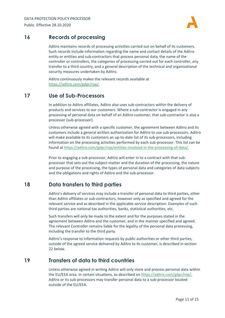

# <span id="page-10-0"></span>**16 Records of processing**

Aditro maintains records of processing activities carried out on behalf of its customers. Such records include information regarding the name and contact details of the Aditro entity or entities and sub-contractors that process personal data, the name of the controller or controllers, the categories of processing carried out for each controller, any transfer to a third country, and a general description of the technical and organizational security measures undertaken by Aditro.

Aditro continuously makes the relevant records available at [https://aditro.com/gdpr/rop/.](https://aditro.com/gdpr/rop/)

### <span id="page-10-1"></span>**17 Use of Sub-Processors**

In addition to Aditro affiliates, Aditro also uses sub-contractors within the delivery of products and services to our customers. Where a sub-contractor is engaged in any processing of personal data on behalf of an Aditro customer, that sub-contractor is also a processor (sub-processor).

Unless otherwise agreed with a specific customer, the agreement between Aditro and its customers include a general written authorization for Aditro to use sub-processors. Aditro will make available to its customers an up-to-date list of its sub-processors, including information on the processing activities performed by each sub-processor. This list can be found a[t https://aditro.com/gdpr/rop/entities-involved-in-the-processing-of-data/.](https://aditro.com/gdpr/rop/entities-involved-in-the-processing-of-data/)

Prior to engaging a sub-processor, Aditro will enter in to a contract with that subprocessor that sets out the subject-matter and the duration of the processing, the nature and purpose of the processing, the types of personal data and categories of data subjects and the obligations and rights of Aditro and the sub-processor.

# <span id="page-10-2"></span>**18 Data transfers to third parties**

Aditro's delivery of services may include a transfer of personal data to third parties, other than Aditro affiliates or sub-contractors, however only as specified and agreed for the relevant service and as described in the applicable service description. Examples of such third parties are national tax authorities, banks, statistical authorities, etc.

Such transfers will only be made to the extent and for the purposes stated in the agreement between Aditro and the customer, and in the manner specified and agreed. The relevant Controller remains liable for the legality of the personal data processing, including the transfer to the third party.

Aditro's response to information requests by public authorities or other third parties, outside of the agreed service delivered by Aditro to its customer, is described in section [22](#page-12-3) below.

### <span id="page-10-3"></span>**19 Transfers of data to third countries**

Unless otherwise agreed in writing Aditro will only store and process personal data within the EU/EEA area. In certain situations, as described o[n https://aditro.com/gdpr/rop/,](https://aditro.com/gdpr/rop/) Aditro or its sub-processors may transfer personal data to a sub-processor located outside of the EU/EEA.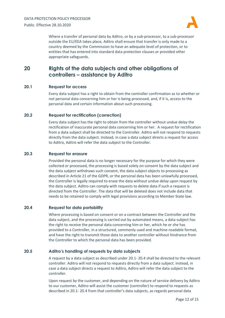

Where a transfer of personal data by Aditro, or by a sub-processor, to a sub-processor outside the EU/EEA takes place, Aditro shall ensure that transfer is only made to a country deemed by the Commission to have an adequate level of protection, or to entities that has entered into standard data protection clauses or provided other appropriate safeguards.

# <span id="page-11-0"></span>**20 Rights of the data subjects and other obligations of controllers – assistance by Aditro**

### <span id="page-11-1"></span>**20.1 Request for access**

Every data subject has a right to obtain from the controller confirmation as to whether or not personal data concerning him or her is being processed, and, if it is, access to the personal data and certain information about such processing.

### <span id="page-11-2"></span>**20.2 Request for rectification (correction)**

Every data subject has the right to obtain from the controller without undue delay the rectification of inaccurate personal data concerning him or her. A request for rectification from a data subject shall be directed to the Controller. Aditro will not respond to requests directly from the data subject. Instead, in case a data subject directs a request for access to Aditro, Aditro will refer the data subject to the Controller.

#### <span id="page-11-3"></span>**20.3 Request for erasure**

Provided the personal data is no longer necessary for the purpose for which they were collected or processed, the processing is based solely on consent by the data subject and the data subject withdraws such consent, the data subject objects to processing as described in Article 21 of the GDPR, or the personal data has been unlawfully processed, the Controller is legally required to erase the data without undue delay upon request by the data subject. Aditro can comply with requests to delete data if such a request is directed from the Controller. The data that will be deleted does not include data that needs to be retained to comply with legal provisions according to Member State law.

#### <span id="page-11-4"></span>**20.4 Request for data portability**

Where processing is based on consent or on a contract between the Controller and the data subject, and the processing is carried out by automated means, a data subject has the right to receive the personal data concerning him or her, which he or she has provided to a Controller, in a structured, commonly used and machine-readable format, and have the right to transmit those data to another controller without hindrance from the Controller to which the personal data has been provided.

### <span id="page-11-5"></span>**20.5 Aditro's handling of requests by data subjects**

A request by a data subject as described under [20.1-](#page-11-1) [20.4](#page-11-4) shall be directed to the relevant controller. Aditro will not respond to requests directly from a data subject. Instead, in case a data subject directs a request to Aditro, Aditro will refer the data subject to the controller.

Upon request by the customer, and depending on the nature of service delivery by Aditro to our customer, Aditro will assist the customer (controller) to respond to requests as described in [20.1-](#page-11-1) [20.4](#page-11-4) from that controller's data subjects, as regards personal data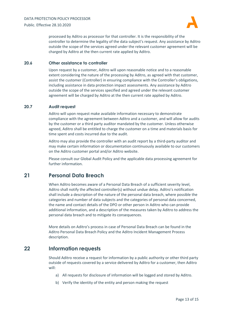

processed by Aditro as processor for that controller. It is the responsibility of the controller to determine the legality of the data subject's request. Any assistance by Aditro outside the scope of the services agreed under the relevant customer agreement will be charged by Aditro at the then current rate applied by Aditro.

#### <span id="page-12-0"></span>**20.6 Other assistance to controller**

Upon request by a customer, Aditro will upon reasonable notice and to a reasonable extent considering the nature of the processing by Aditro, as agreed with that customer, assist the customer (Controller) in ensuring compliance with the Controller's obligations, including assistance in data protection impact assessments. Any assistance by Aditro outside the scope of the services specified and agreed under the relevant customer agreement will be charged by Aditro at the then current rate applied by Aditro.

#### <span id="page-12-1"></span>**20.7 Audit request**

Aditro will upon request make available information necessary to demonstrate compliance with the agreement between Aditro and a customer, and will allow for audits by the customer or a third party auditor mandated by the customer. Unless otherwise agreed, Aditro shall be entitled to charge the customer on a time and materials basis for time spent and costs incurred due to the audit.

Aditro may also provide the controller with an audit report by a third-party auditor and may make certain information or documentation continuously available to our customers on the Aditro customer portal and/or Aditro website.

Please consult our Global Audit Policy and the applicable data processing agreement for further information.

### <span id="page-12-2"></span>**21 Personal Data Breach**

When Aditro becomes aware of a Personal Data Breach of a sufficient severity level, Aditro shall notify the affected controller(s) without undue delay. Aditro's notification shall include a description of the nature of the personal data breach, where possible the categories and number of data subjects and the categories of personal data concerned, the name and contact details of the DPO or other person in Aditro who can provide additional information, and a description of the measures taken by Aditro to address the personal data breach and to mitigate its consequences.

More details on Aditro's process in case of Personal Data Breach can be found in the Aditro Personal Data Breach Policy and the Aditro Incident Management Process description.

### <span id="page-12-3"></span>**22 Information requests**

Should Aditro receive a request for information by a public authority or other third party outside of requests covered by a service delivered by Aditro for a customer, then Aditro will:

- a) All requests for disclosure of information will be logged and stored by Aditro.
- b) Verify the identity of the entity and person making the request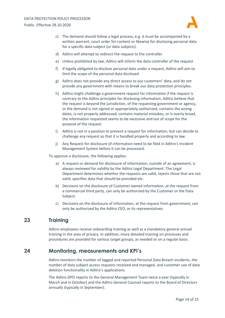

- c) The demand should follow a legal process, e.g. it must be accompanied by a written warrant, court order for content or likewise for disclosing personal data for a specific data subject (or data subjects).
- d) Aditro will attempt to redirect the request to the controller
- e) Unless prohibited by law, Aditro will inform the data controller of the request
- f) If legally obligated to disclose personal data under a request, Aditro will aim to limit the scope of the personal data disclosed
- g) Aditro does not provide any direct access to our customers' data, and do not provide any government with means to break our data protection principles.
- h) Aditro might challenge a government request for information if the request is contrary to the Aditro principles for disclosing information, Aditro believe that the request is beyond the jurisdiction, of the requesting government or agency, or the demand is not signed or appropriately authorized, contains the wrong dates, is not properly addressed, contains material mistakes, or is overly broad, the information requested seems to be excessive and out of scope for the purpose of the request.
- i) Aditro is not in a position to prevent a request for information, but can decide to challenge any request so that it is handled properly and according to law.
- j) Any Request for disclosure of information need to be filed in Aditro's Incident Management System before it can be processed.

To approve a disclosure, the following applies:

- a) A request or demand for disclosure of information, outside of an agreement, is always reviewed for validity by the Aditro Legal Department. The Legal Department determines whether the requests are valid, rejects those that are not valid, specifies data that should be provided etc.
- b) Decisions on the disclosure of Customer owned information, at the request from a commercial third party, can only be authorized by the Customer or the Data Subject.
- c) Decisions on the disclosure of information, at the request from government, can only be authorized by the Aditro CEO, or its representatives.

### <span id="page-13-0"></span>**23 Training**

Aditro employees receive onboarding training as well as a mandatory general annual training in the area of privacy. In addition, more detailed training on processes and procedures are provided for various target groups, as needed or on a regular basis.

### <span id="page-13-1"></span>**24 Monitoring, measurements and KPI's**

Aditro monitors the number of logged and reported Personal Data Breach incidents, the number of data subject access requests received and managed, and customer use of data deletion functionality in Aditro's applications.

The Aditro DPO reports to the General Management Team twice a year (typically in March and in October) and the Aditro General Counsel reports to the Board of Directors annually (typically in September).